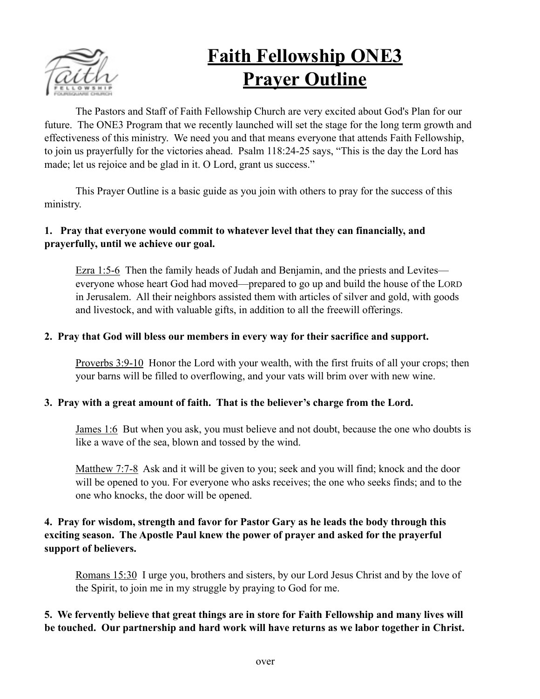

# **Faith Fellowship ONE3 Prayer Outline**

 The Pastors and Staff of Faith Fellowship Church are very excited about God's Plan for our future. The ONE3 Program that we recently launched will set the stage for the long term growth and effectiveness of this ministry. We need you and that means everyone that attends Faith Fellowship, to join us prayerfully for the victories ahead. Psalm 118:24-25 says, "This is the day the Lord has made; let us rejoice and be glad in it. O Lord, grant us success."

 This Prayer Outline is a basic guide as you join with others to pray for the success of this ministry.

#### **1. Pray that everyone would commit to whatever level that they can financially, and prayerfully, until we achieve our goal.**

Ezra 1:5-6Then the family heads of Judah and Benjamin, and the priests and Levites everyone whose heart God had moved—prepared to go up and build the house of the LORD in Jerusalem. All their neighbors assisted them with articles of silver and gold, with goods and livestock, and with valuable gifts, in addition to all the freewill offerings.

### **2. Pray that God will bless our members in every way for their sacrifice and support.**

Proverbs 3:9-10 Honor the Lord with your wealth, with the first fruits of all your crops; then your barns will be filled to overflowing, and your vats will brim over with new wine.

### **3. Pray with a great amount of faith. That is the believer's charge from the Lord.**

James 1:6 But when you ask, you must believe and not doubt, because the one who doubts is like a wave of the sea, blown and tossed by the wind.

Matthew 7:7-8 Ask and it will be given to you; seek and you will find; knock and the door will be opened to you. For everyone who asks receives; the one who seeks finds; and to the one who knocks, the door will be opened.

### **4. Pray for wisdom, strength and favor for Pastor Gary as he leads the body through this exciting season. The Apostle Paul knew the power of prayer and asked for the prayerful support of believers.**

Romans 15:30I urge you, brothers and sisters, by our Lord Jesus Christ and by the love of the Spirit, to join me in my struggle by praying to God for me.

### **5. We fervently believe that great things are in store for Faith Fellowship and many lives will be touched. Our partnership and hard work will have returns as we labor together in Christ.**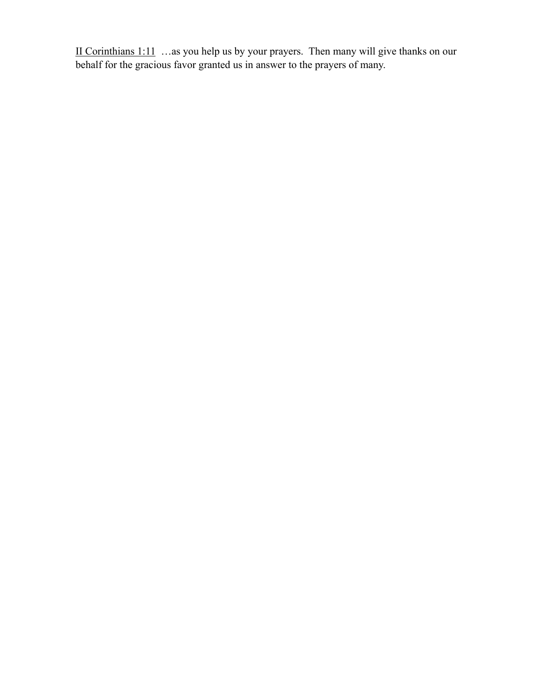II Corinthians 1:11 …as you help us by your prayers. Then many will give thanks on our behalf for the gracious favor granted us in answer to the prayers of many.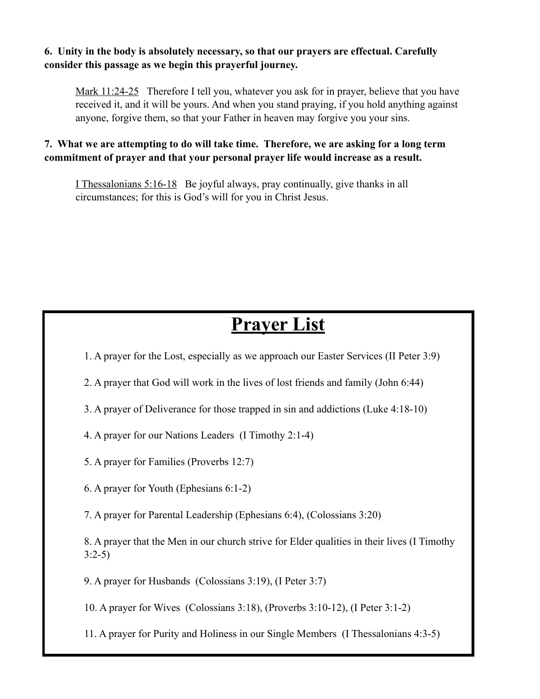#### **6. Unity in the body is absolutely necessary, so that our prayers are effectual. Carefully consider this passage as we begin this prayerful journey.**

Mark 11:24-25Therefore I tell you, whatever you ask for in prayer, believe that you have received it, and it will be yours. And when you stand praying, if you hold anything against anyone, forgive them, so that your Father in heaven may forgive you your sins.

#### **7. What we are attempting to do will take time. Therefore, we are asking for a long term commitment of prayer and that your personal prayer life would increase as a result.**

I Thessalonians 5:16-18 Be joyful always, pray continually, give thanks in all circumstances; for this is God's will for you in Christ Jesus.

## **Prayer List**

- 1. A prayer for the Lost, especially as we approach our Easter Services (II Peter 3:9)
- 2. A prayer that God will work in the lives of lost friends and family (John 6:44)
- 3. A prayer of Deliverance for those trapped in sin and addictions (Luke 4:18-10)
- 4. A prayer for our Nations Leaders (I Timothy 2:1-4)
- 5. A prayer for Families (Proverbs 12:7)
- 6. A prayer for Youth (Ephesians 6:1-2)
- 7. A prayer for Parental Leadership (Ephesians 6:4), (Colossians 3:20)

8. A prayer that the Men in our church strive for Elder qualities in their lives (I Timothy  $3:2-5$ )

- 9. A prayer for Husbands (Colossians 3:19), (I Peter 3:7)
- 10. A prayer for Wives (Colossians 3:18), (Proverbs 3:10-12), (I Peter 3:1-2)
- 11. A prayer for Purity and Holiness in our Single Members (I Thessalonians 4:3-5)